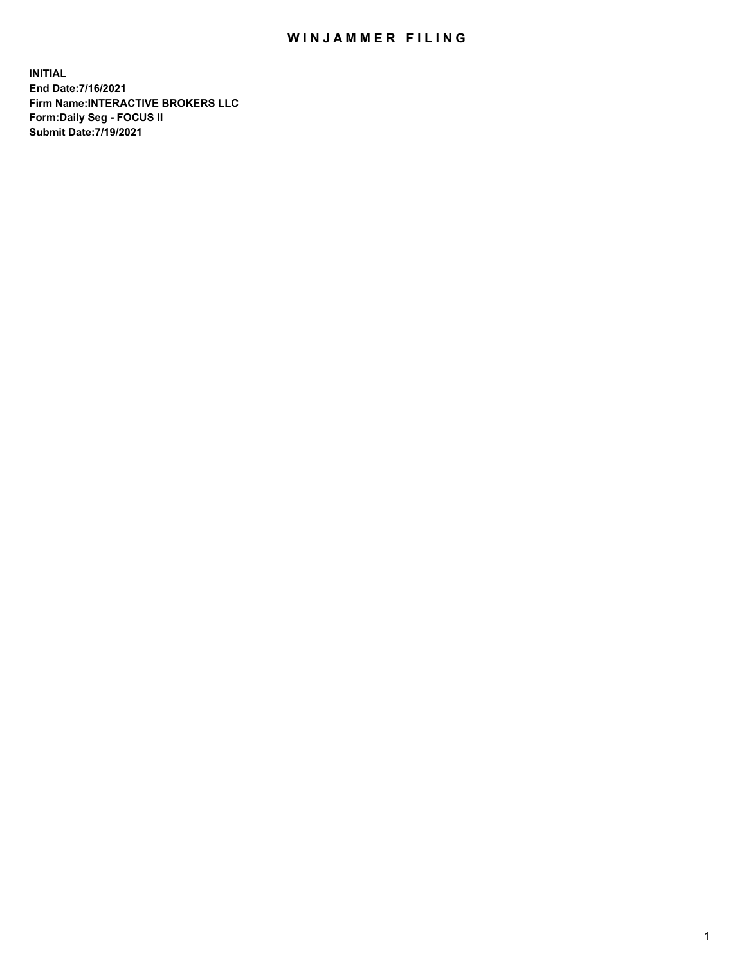## WIN JAMMER FILING

**INITIAL End Date:7/16/2021 Firm Name:INTERACTIVE BROKERS LLC Form:Daily Seg - FOCUS II Submit Date:7/19/2021**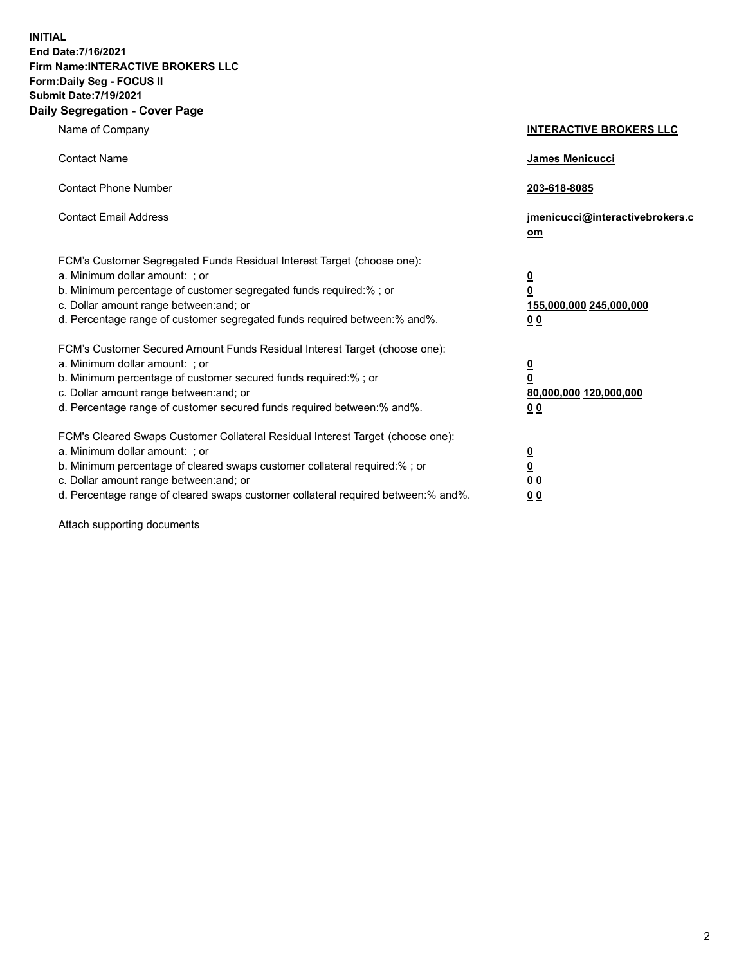**INITIAL End Date:7/16/2021 Firm Name:INTERACTIVE BROKERS LLC Form:Daily Seg - FOCUS II Submit Date:7/19/2021 Daily Segregation - Cover Page**

| Name of Company                                                                                                                                                                                                                                                                                                                | <b>INTERACTIVE BROKERS LLC</b>                                                     |  |
|--------------------------------------------------------------------------------------------------------------------------------------------------------------------------------------------------------------------------------------------------------------------------------------------------------------------------------|------------------------------------------------------------------------------------|--|
| <b>Contact Name</b>                                                                                                                                                                                                                                                                                                            | James Menicucci                                                                    |  |
| <b>Contact Phone Number</b>                                                                                                                                                                                                                                                                                                    | 203-618-8085                                                                       |  |
| <b>Contact Email Address</b>                                                                                                                                                                                                                                                                                                   | jmenicucci@interactivebrokers.c<br>om                                              |  |
| FCM's Customer Segregated Funds Residual Interest Target (choose one):<br>a. Minimum dollar amount: ; or<br>b. Minimum percentage of customer segregated funds required:% ; or<br>c. Dollar amount range between: and; or<br>d. Percentage range of customer segregated funds required between:% and%.                         | $\overline{\mathbf{0}}$<br>$\pmb{0}$<br>155,000,000 245,000,000<br>0 <sub>0</sub>  |  |
| FCM's Customer Secured Amount Funds Residual Interest Target (choose one):<br>a. Minimum dollar amount: ; or<br>b. Minimum percentage of customer secured funds required:% ; or<br>c. Dollar amount range between: and; or<br>d. Percentage range of customer secured funds required between:% and%.                           | $\overline{\mathbf{0}}$<br>$\overline{\mathbf{0}}$<br>80,000,000 120,000,000<br>00 |  |
| FCM's Cleared Swaps Customer Collateral Residual Interest Target (choose one):<br>a. Minimum dollar amount: ; or<br>b. Minimum percentage of cleared swaps customer collateral required:% ; or<br>c. Dollar amount range between: and; or<br>d. Percentage range of cleared swaps customer collateral required between:% and%. | $\frac{0}{0}$<br>0 <sub>0</sub><br>0 <sub>0</sub>                                  |  |

Attach supporting documents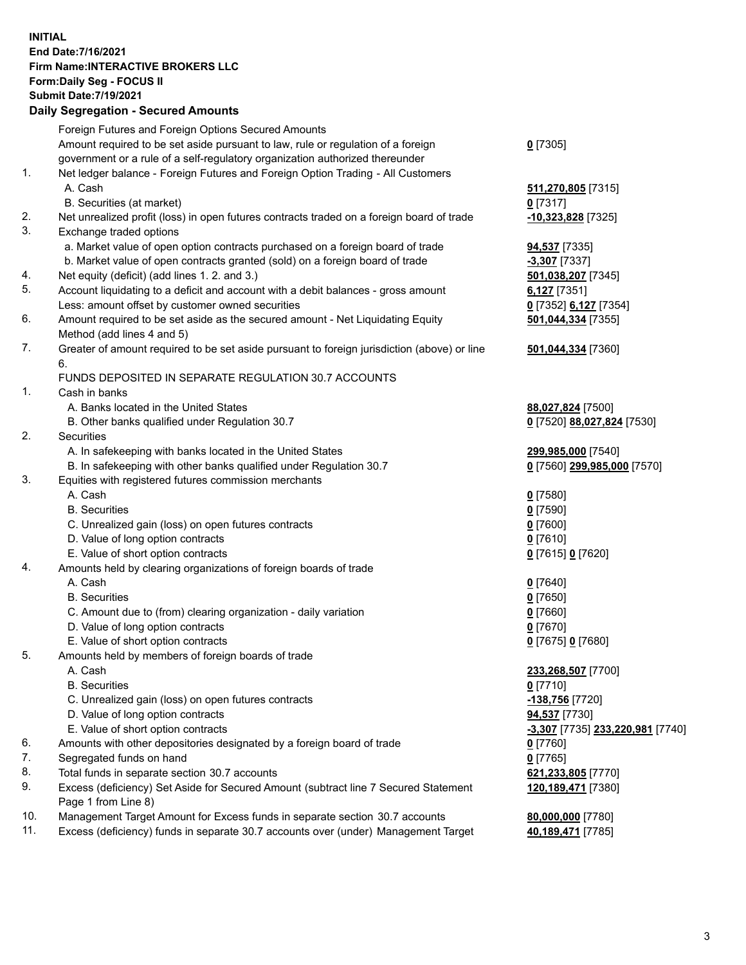**INITIAL End Date:7/16/2021 Firm Name:INTERACTIVE BROKERS LLC Form:Daily Seg - FOCUS II Submit Date:7/19/2021 Daily Segregation - Secured Amounts**

## Foreign Futures and Foreign Options Secured Amounts Amount required to be set aside pursuant to law, rule or regulation of a foreign government or a rule of a self-regulatory organization authorized thereunder **0** [7305] 1. Net ledger balance - Foreign Futures and Foreign Option Trading - All Customers A. Cash **511,270,805** [7315] B. Securities (at market) **0** [7317] 2. Net unrealized profit (loss) in open futures contracts traded on a foreign board of trade **-10,323,828** [7325] 3. Exchange traded options a. Market value of open option contracts purchased on a foreign board of trade **94,537** [7335] b. Market value of open contracts granted (sold) on a foreign board of trade **-3,307** [7337] 4. Net equity (deficit) (add lines 1. 2. and 3.) **501,038,207** [7345] 5. Account liquidating to a deficit and account with a debit balances - gross amount **6,127** [7351] Less: amount offset by customer owned securities **0** [7352] **6,127** [7354] 6. Amount required to be set aside as the secured amount - Net Liquidating Equity Method (add lines 4 and 5) **501,044,334** [7355] 7. Greater of amount required to be set aside pursuant to foreign jurisdiction (above) or line 6. **501,044,334** [7360] FUNDS DEPOSITED IN SEPARATE REGULATION 30.7 ACCOUNTS 1. Cash in banks A. Banks located in the United States **88,027,824** [7500] B. Other banks qualified under Regulation 30.7 **0** [7520] **88,027,824** [7530] 2. Securities A. In safekeeping with banks located in the United States **299,985,000** [7540] B. In safekeeping with other banks qualified under Regulation 30.7 **0** [7560] **299,985,000** [7570] 3. Equities with registered futures commission merchants A. Cash **0** [7580] B. Securities **0** [7590] C. Unrealized gain (loss) on open futures contracts **0** [7600] D. Value of long option contracts **0** [7610] E. Value of short option contracts **0** [7615] **0** [7620] 4. Amounts held by clearing organizations of foreign boards of trade A. Cash **0** [7640] B. Securities **0** [7650] C. Amount due to (from) clearing organization - daily variation **0** [7660] D. Value of long option contracts **0** [7670] E. Value of short option contracts **0** [7675] **0** [7680] 5. Amounts held by members of foreign boards of trade A. Cash **233,268,507** [7700] B. Securities **0** [7710] C. Unrealized gain (loss) on open futures contracts **-138,756** [7720] D. Value of long option contracts **94,537** [7730] E. Value of short option contracts **-3,307** [7735] **233,220,981** [7740] 6. Amounts with other depositories designated by a foreign board of trade **0** [7760] 7. Segregated funds on hand **0** [7765] 8. Total funds in separate section 30.7 accounts **621,233,805** [7770] 9. Excess (deficiency) Set Aside for Secured Amount (subtract line 7 Secured Statement Page 1 from Line 8) **120,189,471** [7380] 10. Management Target Amount for Excess funds in separate section 30.7 accounts **80,000,000** [7780] 11. Excess (deficiency) funds in separate 30.7 accounts over (under) Management Target **40,189,471** [7785]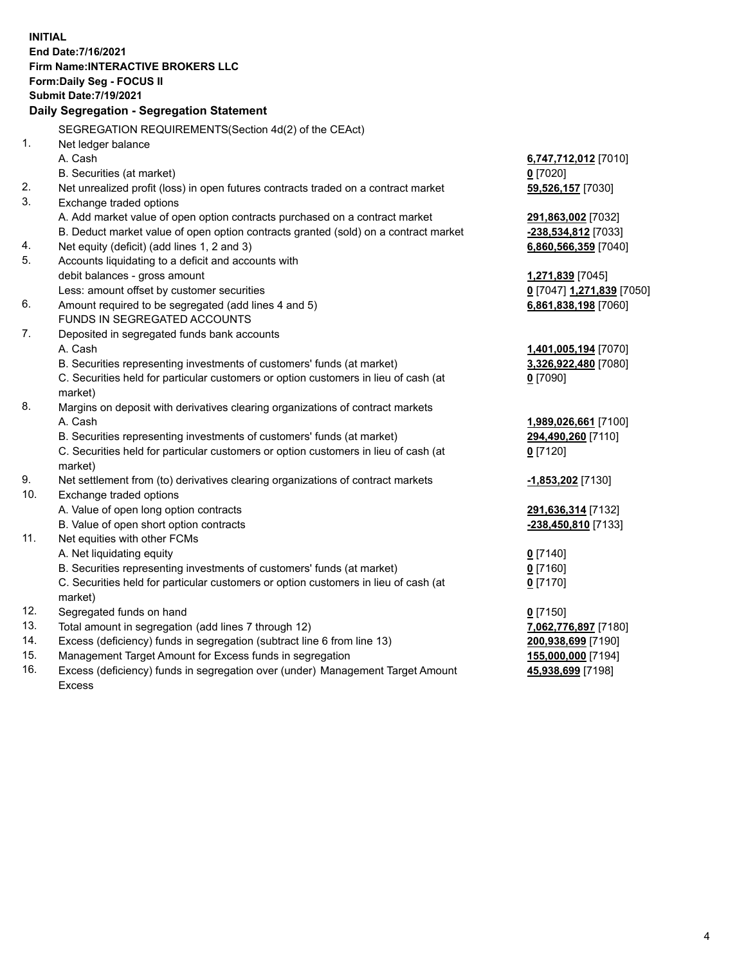**INITIAL End Date:7/16/2021 Firm Name:INTERACTIVE BROKERS LLC Form:Daily Seg - FOCUS II Submit Date:7/19/2021 Daily Segregation - Segregation Statement** SEGREGATION REQUIREMENTS(Section 4d(2) of the CEAct) 1. Net ledger balance A. Cash **6,747,712,012** [7010] B. Securities (at market) **0** [7020] 2. Net unrealized profit (loss) in open futures contracts traded on a contract market **59,526,157** [7030] 3. Exchange traded options A. Add market value of open option contracts purchased on a contract market **291,863,002** [7032] B. Deduct market value of open option contracts granted (sold) on a contract market **-238,534,812** [7033] 4. Net equity (deficit) (add lines 1, 2 and 3) **6,860,566,359** [7040] 5. Accounts liquidating to a deficit and accounts with debit balances - gross amount **1,271,839** [7045] Less: amount offset by customer securities **0** [7047] **1,271,839** [7050] 6. Amount required to be segregated (add lines 4 and 5) **6,861,838,198** [7060] FUNDS IN SEGREGATED ACCOUNTS 7. Deposited in segregated funds bank accounts A. Cash **1,401,005,194** [7070] B. Securities representing investments of customers' funds (at market) **3,326,922,480** [7080] C. Securities held for particular customers or option customers in lieu of cash (at market) **0** [7090] 8. Margins on deposit with derivatives clearing organizations of contract markets A. Cash **1,989,026,661** [7100] B. Securities representing investments of customers' funds (at market) **294,490,260** [7110] C. Securities held for particular customers or option customers in lieu of cash (at market) **0** [7120] 9. Net settlement from (to) derivatives clearing organizations of contract markets **-1,853,202** [7130] 10. Exchange traded options A. Value of open long option contracts **291,636,314** [7132] B. Value of open short option contracts **-238,450,810** [7133] 11. Net equities with other FCMs A. Net liquidating equity **0** [7140] B. Securities representing investments of customers' funds (at market) **0** [7160] C. Securities held for particular customers or option customers in lieu of cash (at market) **0** [7170] 12. Segregated funds on hand **0** [7150] 13. Total amount in segregation (add lines 7 through 12) **7,062,776,897** [7180] 14. Excess (deficiency) funds in segregation (subtract line 6 from line 13) **200,938,699** [7190] 15. Management Target Amount for Excess funds in segregation **155,000,000** [7194]

16. Excess (deficiency) funds in segregation over (under) Management Target Amount Excess

**45,938,699** [7198]